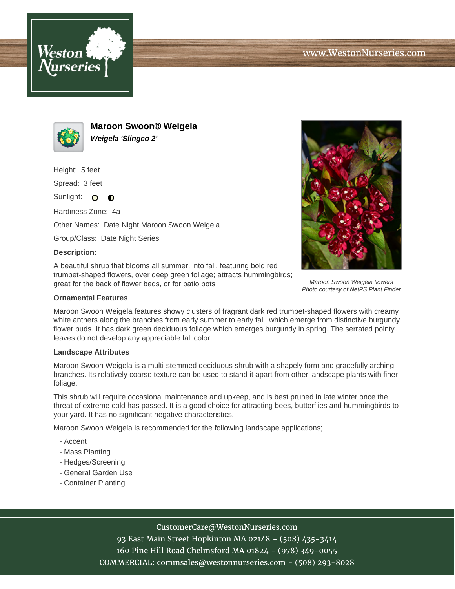



**Maroon Swoon® Weigela Weigela 'Slingco 2'**

Height: 5 feet

Spread: 3 feet

Sunlight: O  $\bullet$ 

Hardiness Zone: 4a

Other Names: Date Night Maroon Swoon Weigela

Group/Class: Date Night Series

## **Description:**

A beautiful shrub that blooms all summer, into fall, featuring bold red trumpet-shaped flowers, over deep green foliage; attracts hummingbirds; great for the back of flower beds, or for patio pots



Maroon Swoon Weigela features showy clusters of fragrant dark red trumpet-shaped flowers with creamy white anthers along the branches from early summer to early fall, which emerge from distinctive burgundy flower buds. It has dark green deciduous foliage which emerges burgundy in spring. The serrated pointy leaves do not develop any appreciable fall color.

## **Landscape Attributes**

Maroon Swoon Weigela is a multi-stemmed deciduous shrub with a shapely form and gracefully arching branches. Its relatively coarse texture can be used to stand it apart from other landscape plants with finer foliage.

This shrub will require occasional maintenance and upkeep, and is best pruned in late winter once the threat of extreme cold has passed. It is a good choice for attracting bees, butterflies and hummingbirds to your yard. It has no significant negative characteristics.

Maroon Swoon Weigela is recommended for the following landscape applications;

- Accent
- Mass Planting
- Hedges/Screening
- General Garden Use
- Container Planting

## CustomerCare@WestonNurseries.com

93 East Main Street Hopkinton MA 02148 - (508) 435-3414 160 Pine Hill Road Chelmsford MA 01824 - (978) 349-0055 COMMERCIAL: commsales@westonnurseries.com - (508) 293-8028



Maroon Swoon Weigela flowers Photo courtesy of NetPS Plant Finder